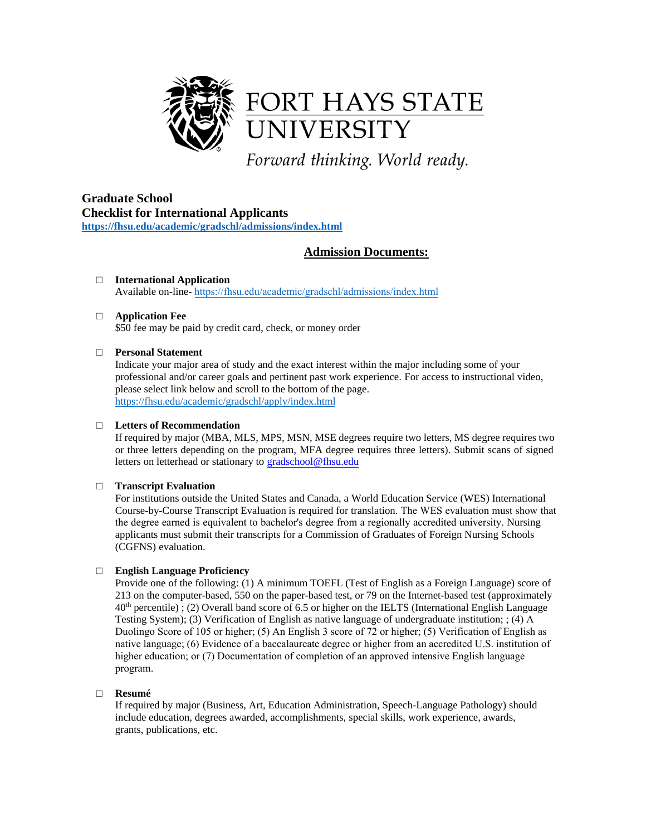

**Graduate School Checklist for International Applicants <https://fhsu.edu/academic/gradschl/admissions/index.html>**

# **Admission Documents:**

□ **International Application** Available on-line- https://fhsu.edu/academic/gradschl/admissions/index.html

# □ **Application Fee**

\$50 fee may be paid by credit card, check, or money order

# □ **Personal Statement**

Indicate your major area of study and the exact interest within the major including some of your professional and/or career goals and pertinent past work experience. For access to instructional video, please select link below and scroll to the bottom of the page. <https://fhsu.edu/academic/gradschl/apply/index.html>

# □ **Letters of Recommendation**

If required by major (MBA, MLS, MPS, MSN, MSE degrees require two letters, MS degree requires two or three letters depending on the program, MFA degree requires three letters). Submit scans of signed letters on letterhead or stationary to [gradschool@fhsu.edu](mailto:gradschool@fhsu.edu)

# □ **Transcript Evaluation**

For institutions outside the United States and Canada, a World Education Service (WES) International Course-by-Course Transcript Evaluation is required for translation. The WES evaluation must show that the degree earned is equivalent to bachelor's degree from a regionally accredited university. Nursing applicants must submit their transcripts for a Commission of Graduates of Foreign Nursing Schools (CGFNS) evaluation.

# □ **English Language Proficiency**

Provide one of the following: (1) A minimum TOEFL (Test of English as a Foreign Language) score of 213 on the computer-based, 550 on the paper-based test, or 79 on the Internet-based test (approximately 40 th percentile) ; (2) Overall band score of 6.5 or higher on the IELTS (International English Language Testing System); (3) Verification of English as native language of undergraduate institution; ; (4) A Duolingo Score of 105 or higher; (5) An English 3 score of 72 or higher; (5) Verification of English as native language; (6) Evidence of a baccalaureate degree or higher from an accredited U.S. institution of higher education; or (7) Documentation of completion of an approved intensive English language program.

# □ **Resumé**

If required by major (Business, Art, Education Administration, Speech-Language Pathology) should include education, degrees awarded, accomplishments, special skills, work experience, awards, grants, publications, etc.